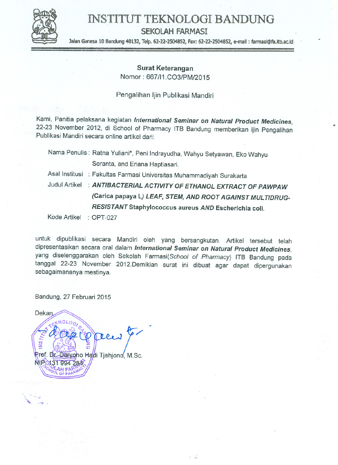

# INSTITUT TEKNOLOGI BANDUNG

SEKOLAH FARMASI

Jalan Ganesa 10 Bandung 40132, Telp. 62-22-2504852, Fax: 62-22-2504852, e-mail: farmasi@fa.itb.ac.id

.

# Surat Keterangan

Nomor: 667/11.C03/PM/2015

# Pengalihan Ijin Publikasi Mandiri

Kami, Panitia pelaksana kegiatan *International Seminar on Natural Product Medicines*, 22-23 November 2012, di School of Pharmacy ITB Bandung memberikan ijin Pengalihan<br>Publikasi Mandiri secara online artikel dari:

|              | Nama Penulis: Ratna Yuliani*, Peni Indrayudha, Wahyu Setyawan, Eko Wahyu |
|--------------|--------------------------------------------------------------------------|
|              | Soranta, and Eriana Haptiasari.                                          |
|              | Asal Institusi : Fakultas Farmasi Universitas Muhammadiyah Surakarta     |
|              | Judul Artikel : ANTIBACTERIAL ACTIVITY OF ETHANOL EXTRACT OF PAWPAW      |
|              | (Carica papaya L) LEAF, STEM, AND ROOT AGAINST MULTIDRUG-                |
|              | RESISTANT Staphylococcus aureus AND Escherichia coli.                    |
| Kode Artikel | $\therefore$ OPT-027                                                     |

untuk dipublikasi secara Mandiri oleh yang bersangkutan. Artikel tersebut telah dipresentasikan secara oral dalam *International Seminar* on *Natural Product Medicines,* yang diselenggarakan oleh Sekolah Farmasi(School of Pharmacy) ITB Bandung pada tanggal 22-23 November 2012.Demikian surat ini dibuat agar dapat dipergunakan sebagaimananya mestinya.

 $\hat{y}$   $\frac{1}{2}$ 

Bandung, 27 Februari 2015

 $\mathcal{L} \subset \mathcal{L}$ '\.. "*"41"*.

Dekan  $\frac{1}{2}$ Prof. Dr. Daryoho Hadi Tjahjono, M.Sc. NIP 431 994 284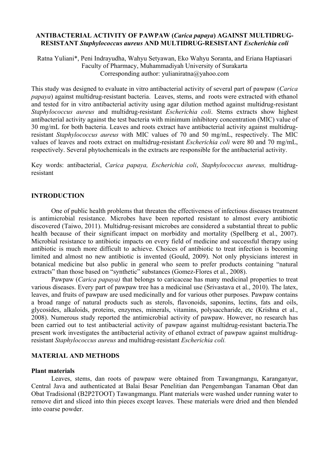# **ANTIBACTERIAL ACTIVITY OF PAWPAW (***Carica papaya***) AGAINST MULTIDRUG-RESISTANT** *Staphylococcus aureus* **AND MULTIDRUG-RESISTANT** *Escherichia coli*

Ratna Yuliani\*, Peni Indrayudha, Wahyu Setyawan, Eko Wahyu Soranta, and Eriana Haptiasari Faculty of Pharmacy, Muhammadiyah University of Surakarta Corresponding author: yulianiratna@yahoo.com

This study was designed to evaluate in vitro antibacterial activity of several part of pawpaw (*Carica papaya*) against multidrug-resistant bacteria. Leaves, stems, and roots were extracted with ethanol and tested for in vitro antibacterial activity using agar dilution method against multidrug-resistant *Staphylococcus aureus* and multidrug-resistant *Escherichia coli*. Stems extracts show highest antibacterial activity against the test bacteria with minimum inhibitory concentration (MIC) value of 30 mg/mL for both bacteria. Leaves and roots extract have antibacterial activity against multidrugresistant *Staphylococcus aureus* with MIC values of 70 and 50 mg/mL, respectively. The MIC values of leaves and roots extract on multidrug-resistant *Escherichia coli* were 80 and 70 mg/mL, respectively. Several phytochemicals in the extracts are responsible for the antibacterial activity.

Key words: antibacterial, *Carica papaya, Escherichia coli*, *Staphylococcus aureus,* multidrugresistant

# **INTRODUCTION**

One of public health problems that threaten the effectiveness of infectious diseases treatment is antimicrobial resistance. Microbes have been reported resistant to almost every antibiotic discovered (Taiwo, 2011). Multidrug-resisant microbes are considered a substantial threat to public health because of their significant impact on morbidity and mortality (Spellberg et al., 2007). Microbial resistance to antibiotic impacts on every field of medicine and successful therapy using antibiotic is much more difficult to achieve. Choices of antibiotic to treat infection is becoming limited and almost no new antibiotic is invented (Gould, 2009). Not only physicians interest in botanical medicine but also public in general who seem to prefer products containing "natural extracts" than those based on "synthetic" substances (Gomez-Flores et al., 2008).

Pawpaw (*Carica papaya)* that belongs to caricaceae has many medicinal properties to treat various diseases. Every part of pawpaw tree has a medicinal use (Srivastava et al., 2010). The latex, leaves, and fruits of pawpaw are used medicinally and for various other purposes. Pawpaw contains a broad range of natural products such as sterols, flavonoids, saponins, lectins, fats and oils, glycosides, alkaloids, proteins, enzymes, minerals, vitamins, polysaccharide, etc (Krishna et al., 2008). Numerous study reported the antimicrobial activity of pawpaw. However, no research has been carried out to test antibacterial activity of pawpaw against multidrug-resistant bacteria.The present work investigates the antibacterial activity of ethanol extract of pawpaw against multidrugresistant *Staphylococcus aureus* and multidrug-resistant *Escherichia coli.*

# **MATERIAL AND METHODS**

#### **Plant materials**

Leaves, stems, dan roots of pawpaw were obtained from Tawangmangu, Karanganyar, Central Java and authenticated at Balai Besar Penelitian dan Pengembangan Tanaman Obat dan Obat Tradisional (B2P2TOOT) Tawangmangu. Plant materials were washed under running water to remove dirt and sliced into thin pieces except leaves. These materials were dried and then blended into coarse powder.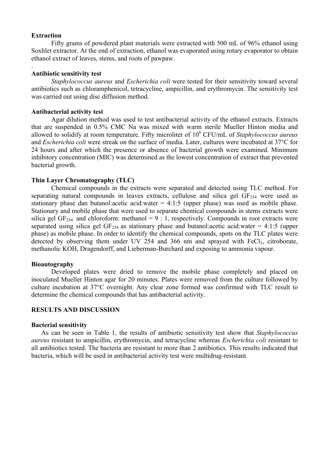#### **Extraction**

.

Fifty grams of powdered plant materials were extracted with 500 mL of 96% ethanol using Soxhlet extractor. At the end of extraction, ethanol was evaporated using rotary evaporator to obtain ethanol extract of leaves, stems, and roots of pawpaw.

#### **Antibiotic sensitivity test**

*Staphylococcus aureus* and *Escherichia coli* were tested for their sensitivity toward several antibiotics such as chloramphenicol, tetracycline, ampicillin, and erythromycin. The sensitivity test was carried out using disc diffusion method.

#### **Antibacterial activity test**

Agar dilution method was used to test antibacterial activity of the ethanol extracts. Extracts that are suspended in 0.5% CMC Na was mixed with warm sterile Mueller Hinton media and allowed to solidify at room temperature. Fifty microliter of 10<sup>6</sup> CFU/mL of *Staphylococcus aureus* and *Escherichia coli* were streak on the surface of media. Later, cultures were incubated at 37°C for 24 hours and after which the presence or absence of bacterial growth were examined. Minimum inhibitory concentration (MIC) was determined as the lowest concentration of extract that prevented bacterial growth.

# **Thin Layer Chromatography (TLC)**

Chemical compounds in the extracts were separated and detected using TLC method. For separating natural compounds in leaves extracts, cellulose and silica gel  $GF<sub>254</sub>$  were used as stationary phase dan butanol: acetic acid: water  $= 4:1:5$  (upper phase) was used as mobile phase. Stationary and mobile phase that were used to separate chemical compounds in stems extracts were silica gel GF<sub>254</sub> and chloroform: methanol =  $9:1$ , respectively. Compounds in root extracts were separated using silica gel  $GF_{254}$  as stationary phase and butanol: acetic acid: water = 4:1:5 (upper phase) as mobile phase. In order to identify the chemical compounds, spots on the TLC plates were detected by observing them under UV 254 and 366 nm and sprayed with FeCl<sub>3</sub>, citroborate, methanolic KOH, Dragendorff, and Lieberman-Burchard and exposing to ammonia vapour.

# **Bioautography**

Developed plates were dried to remove the mobile phase completely and placed on inoculated Mueller Hinton agar for 20 minutes. Plates were removed from the culture followed by culture incubation at 37°C overnight. Any clear zone formed was confirmed with TLC result to determine the chemical compounds that has antibacterial activity.

#### **RESULTS AND DISCUSSION**

#### **Bacterial sensitivity**

As can be seen in Table 1, the results of antibiotic sensitivity test show that *Staphylococcus aureus* resistant to ampicillin, erythromycin, and tetracycline whereas *Escherichia coli* resistant to all antibiotics tested. The bacteria are resistant to more than 2 antibiotics. This results indicated that bacteria, which will be used in antibacterial activity test were multidrug-resistant.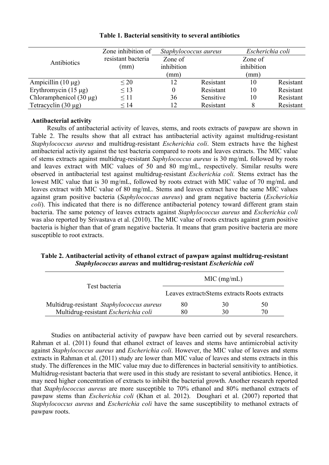|                              | Zone inhibition of | Staphylococcus aureus |           | Escherichia coli |           |
|------------------------------|--------------------|-----------------------|-----------|------------------|-----------|
| Antibiotics                  | resistant bacteria | Zone of               |           | Zone of          |           |
|                              | (mm)               | inhibition            |           | inhibition       |           |
|                              |                    | (mm)                  |           | (mm)             |           |
| Ampicillin $(10 \mu g)$      | $\leq$ 20          | $\sqrt{2}$            | Resistant | 10               | Resistant |
| Erythromycin $(15 \mu g)$    | $\leq$ 13          |                       | Resistant | 10               | Resistant |
| Chloramphenicol $(30 \mu g)$ | $\leq$ 11          | 36                    | Sensitive | 10               | Resistant |
| Tetracyclin $(30 \mu g)$     | $\leq 14$          | 12                    | Resistant |                  | Resistant |

# **Table 1. Bacterial sensitivity to several antibiotics**

# **Antibacterial activity**

Results of antibacterial activity of leaves, stems, and roots extracts of pawpaw are shown in Table 2. The results show that all extract has antibacterial activity against multidrug-resistant *Staphylococcus aureus* and multidrug-resistant *Escherichia coli*. Stem extracts have the highest antibacterial activity against the test bacteria compared to roots and leaves extracts. The MIC value of stems extracts against multidrug-resistant *Saphylococcus aureus* is 30 mg/mL followed by roots and leaves extract with MIC values of 50 and 80 mg/mL, respectively. Similar results were observed in antibacterial test against multidrug-resistant *Escherichia coli.* Stems extract has the lowest MIC value that is 30 mg/mL, followed by roots extract with MIC value of 70 mg/mL and leaves extract with MIC value of 80 mg/mL. Stems and leaves extract have the same MIC values against gram positive bacteria (*Saphylococcus aureus*) and gram negative bacteria (*Escherichia coli*). This indicated that there is no difference antibacterial potency toward different gram stain bacteria. The same potency of leaves extracts against *Staphylococcus aureus* and *Escherichia coli* was also reported by Srivastava et al. (2010). The MIC value of roots extracts against gram positive bacteria is higher than that of gram negative bacteria. It means that gram positive bacteria are more susceptible to root extracts.

# **Table 2. Antibacterial activity of ethanol extract of pawpaw against multidrug-resistant** *Staphylococcus aureus* **and multidrug-resistant** *Escherichia coli*

|                                           | MIC (mg/mL)                                   |    |    |  |
|-------------------------------------------|-----------------------------------------------|----|----|--|
| Test bacteria                             | Leaves extracts Stems extracts Roots extracts |    |    |  |
| Multidrug-resistant Staphylococcus aureus | 80                                            | 30 | 50 |  |
| Multidrug-resistant Escherichia coli      |                                               | 30 | 70 |  |

Studies on antibacterial activity of pawpaw have been carried out by several researchers. Rahman et al. (2011) found that ethanol extract of leaves and stems have antimicrobial activity against *Staphylococcus aureus* and *Escherichia coli*. However, the MIC value of leaves and stems extracts in Rahman et al. (2011) study are lower than MIC value of leaves and stems extracts in this study. The differences in the MIC value may due to differences in bacterial sensitivity to antibiotics. Multidrug-resistant bacteria that were used in this study are resistant to several antibiotics. Hence, it may need higher concentration of extracts to inhibit the bacterial growth. Another research reported that *Staphylococcus aureus* are more susceptible to 70% ethanol and 80% methanol extracts of pawpaw stems than *Escherichia coli* (Khan et al. 2012). Doughari et al. (2007) reported that *Staphylococcus aureus* and *Escherichia coli* have the same susceptibility to methanol extracts of pawpaw roots.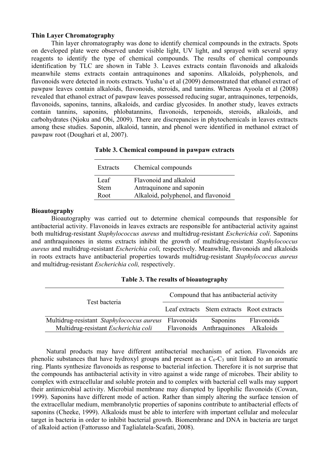# **Thin Layer Chromatography**

Thin layer chromatography was done to identify chemical compounds in the extracts. Spots on developed plate were observed under visible light, UV light, and sprayed with several spray reagents to identify the type of chemical compounds. The results of chemical compounds identification by TLC are shown in Table 3. Leaves extracts contain flavonoids and alkaloids meanwhile stems extracts contain antraquinones and saponins. Alkaloids, polyphenols, and flavonoids were detected in roots extracts. Yusha'u et al (2009) demonstrated that ethanol extract of pawpaw leaves contain alkaloids, flavonoids, steroids, and tannins. Whereas Ayoola et al (2008) revealed that ethanol extract of pawpaw leaves possessed reducing sugar, antraquinones, terpenoids, flavonoids, saponins, tannins, alkaloids, and cardiac glycosides. In another study, leaves extracts contain tannins, saponins, phlobatannins, flavonoids, terpenoids, steroids, alkaloids, and carbohydrates (Njoku and Obi, 2009). There are discrepancies in phytochemicals in leaves extracts among these studies. Saponin, alkaloid, tannin, and phenol were identified in methanol extract of pawpaw root (Doughari et al, 2007).

| Extracts    | Chemical compounds                  |
|-------------|-------------------------------------|
| Leaf        | Flavonoid and alkaloid              |
| <b>Stem</b> | Antraquinone and saponin            |
| Root        | Alkaloid, polyphenol, and flavonoid |

# **Table 3. Chemical compound in pawpaw extracts**

#### **Bioautography**

Bioautography was carried out to determine chemical compounds that responsible for antibacterial activity. Flavonoids in leaves extracts are responsible for antibacterial activity against both multidrug-resistant *Staphylococcus aureus* and multidrug-resistant *Escherichia coli*. Saponins and anthraquinones in stems extracts inhibit the growth of multidrug-resistant *Staphylococcus aureus* and multidrug-resistant *Escherichia coli,* respectively. Meanwhile, flavonoids and alkaloids in roots extracts have antibacterial properties towards multidrug-resistant *Staphylococcus aureus* and multidrug-resistant *Escherichia coli,* respectively.

| Test bacteria                                        | Compound that has antibacterial activity |                                           |            |  |  |
|------------------------------------------------------|------------------------------------------|-------------------------------------------|------------|--|--|
|                                                      |                                          | Leaf extracts Stem extracts Root extracts |            |  |  |
| Multidrug-resistant Staphylococcus aureus Flavonoids |                                          | Saponins                                  | Flavonoids |  |  |
| Multidrug-resistant Escherichia coli                 |                                          | Flavonoids Anthraquinones                 | Alkaloids  |  |  |

| Table 3. The results of bioautography |  |  |  |  |  |  |
|---------------------------------------|--|--|--|--|--|--|
|---------------------------------------|--|--|--|--|--|--|

Natural products may have different antibacterial mechanism of action. Flavonoids are phenolic substances that have hydroxyl groups and present as a  $C_6-C_3$  unit linked to an aromatic ring. Plants synthesize flavonoids as response to bacterial infection. Therefore it is not surprise that the compounds has antibacterial activity in vitro against a wide range of microbes. Their ability to complex with extracellular and soluble protein and to complex with bacterial cell walls may support their antimicrobial activity. Microbial membrane may disrupted by lipophilic flavonoids (Cowan, 1999). Saponins have different mode of action. Rather than simply altering the surface tension of the extracellular medium, membranolytic properties of saponins contribute to antibacterial effects of saponins (Cheeke, 1999). Alkaloids must be able to interfere with important cellular and molecular target in bacteria in order to inhibit bacterial growth. Biomembrane and DNA in bacteria are target of alkaloid action (Fattorusso and Taglialatela-Scafati, 2008).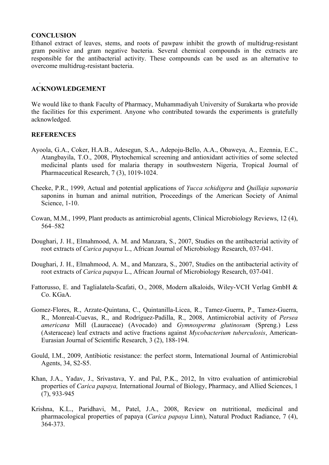#### **CONCLUSION**

.

Ethanol extract of leaves, stems, and roots of pawpaw inhibit the growth of multidrug-resistant gram positive and gram negative bacteria. Several chemical compounds in the extracts are responsible for the antibacterial activity. These compounds can be used as an alternative to overcome multidrug-resistant bacteria.

## **ACKNOWLEDGEMENT**

We would like to thank Faculty of Pharmacy, Muhammadiyah University of Surakarta who provide the facilities for this experiment. Anyone who contributed towards the experiments is gratefully acknowledged.

# **REFERENCES**

- Ayoola, G.A., Coker, H.A.B., Adesegun, S.A., Adepoju-Bello, A.A., Obaweya, A., Ezennia, E.C., Atangbayila, T.O., 2008, Phytochemical screening and antioxidant activities of some selected medicinal plants used for malaria therapy in southwestern Nigeria, Tropical Journal of Pharmaceutical Research, 7 (3), 1019-1024.
- Cheeke, P.R., 1999, Actual and potential applications of *Yucca schidigera* and *Quillaja saponaria* saponins in human and animal nutrition, Proceedings of the American Society of Animal Science, 1-10.
- Cowan, M.M., 1999, Plant products as antimicrobial agents, Clinical Microbiology Reviews, 12 (4), 564–582
- Doughari, J. H., Elmahmood, A. M. and Manzara, S., 2007, Studies on the antibacterial activity of root extracts of *Carica papaya* L., African Journal of Microbiology Research, 037-041.
- Doughari, J. H., Elmahmood, A. M., and Manzara, S., 2007, Studies on the antibacterial activity of root extracts of *Carica papaya* L., African Journal of Microbiology Research, 037-041.
- Fattorusso, E. and Taglialatela-Scafati, O., 2008, Modern alkaloids, Wiley-VCH Verlag GmbH & Co. KGaA.
- Gomez-Flores, R., Arzate-Quintana, C., Quintanilla-Licea, R., Tamez-Guerra, P., Tamez-Guerra, R., Monreal-Cuevas, R., and Rodríguez-Padilla, R., 2008, Antimicrobial activity of *Persea americana* Mill (Lauraceae) (Avocado) and *Gymnosperma glutinosum* (Spreng.) Less (Asteraceae) leaf extracts and active fractions against *Mycobacterium tuberculosis*, American-Eurasian Journal of Scientific Research, 3 (2), 188-194.
- Gould, I.M., 2009, Antibiotic resistance: the perfect storm, International Journal of Antimicrobial Agents, 34, S2-S5.
- Khan, J.A., Yadav, J., Srivastava, Y. and Pal, P.K., 2012, In vitro evaluation of antimicrobial properties of *Carica papaya,* International Journal of Biology, Pharmacy, and Allied Sciences, 1 (7), 933-945
- Krishna, K.L., Paridhavi, M., Patel, J.A., 2008, Review on nutritional, medicinal and pharmacological properties of papaya (*Carica papaya* Linn), Natural Product Radiance, 7 (4), 364-373.